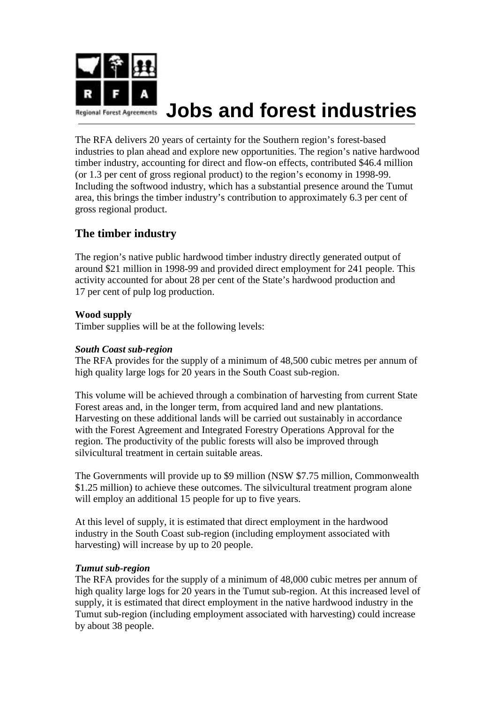

# **Jobs and forest industries**

The RFA delivers 20 years of certainty for the Southern region's forest-based industries to plan ahead and explore new opportunities. The region's native hardwood timber industry, accounting for direct and flow-on effects, contributed \$46.4 million (or 1.3 per cent of gross regional product) to the region's economy in 1998-99. Including the softwood industry, which has a substantial presence around the Tumut area, this brings the timber industry's contribution to approximately 6.3 per cent of gross regional product.

## **The timber industry**

The region's native public hardwood timber industry directly generated output of around \$21 million in 1998-99 and provided direct employment for 241 people. This activity accounted for about 28 per cent of the State's hardwood production and 17 per cent of pulp log production.

#### **Wood supply**

Timber supplies will be at the following levels:

#### *South Coast sub-region*

The RFA provides for the supply of a minimum of 48,500 cubic metres per annum of high quality large logs for 20 years in the South Coast sub-region.

This volume will be achieved through a combination of harvesting from current State Forest areas and, in the longer term, from acquired land and new plantations. Harvesting on these additional lands will be carried out sustainably in accordance with the Forest Agreement and Integrated Forestry Operations Approval for the region. The productivity of the public forests will also be improved through silvicultural treatment in certain suitable areas.

The Governments will provide up to \$9 million (NSW \$7.75 million, Commonwealth \$1.25 million) to achieve these outcomes. The silvicultural treatment program alone will employ an additional 15 people for up to five years.

At this level of supply, it is estimated that direct employment in the hardwood industry in the South Coast sub-region (including employment associated with harvesting) will increase by up to 20 people.

#### *Tumut sub-region*

The RFA provides for the supply of a minimum of 48,000 cubic metres per annum of high quality large logs for 20 years in the Tumut sub-region. At this increased level of supply, it is estimated that direct employment in the native hardwood industry in the Tumut sub-region (including employment associated with harvesting) could increase by about 38 people.